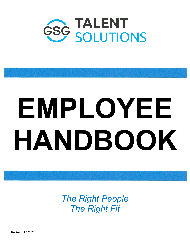

# **EMPLOYEE HANDBOOK**

*The Right People The Right Fit*

Revised 11.8.2021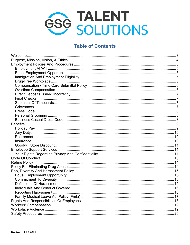

## **Table of Contents**

| Welcome |  |
|---------|--|
|         |  |
|         |  |
|         |  |
|         |  |
|         |  |
|         |  |
|         |  |
|         |  |
|         |  |
|         |  |
|         |  |
|         |  |
|         |  |
|         |  |
|         |  |
|         |  |
|         |  |
|         |  |
|         |  |
|         |  |
|         |  |
|         |  |
|         |  |
|         |  |
|         |  |
|         |  |
|         |  |
|         |  |
|         |  |
|         |  |
|         |  |
|         |  |
|         |  |
|         |  |
|         |  |
|         |  |
|         |  |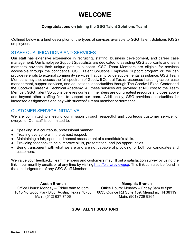# **WELCOME**

### **Congratulations on joining the GSG Talent Solutions Team!**

<span id="page-2-0"></span>Outlined below is a brief description of the types of services available to GSG Talent Solutions (GSG) employees.

### STAFF QUALIFICATIONS AND SERVICES

Our staff has extensive experience in recruiting, staffing, business development, and career case management. Our Employee Support Specialists are dedicated to assisting GSG applicants and team members navigate their unique path to success. GSG Team Members are eligible for services accessible through the confidential GSG Talent Solutions Employee Support program or, we can provide referrals to external community services that can provide supplemental assistance. GSG Team Members may also access the full spectrum of Goodwill Central Texas resources including career case management, support services, and educational opportunities through The Goodwill Excel Center and the Goodwill Career & Technical Academy. All these services are provided at NO cost to the Team Member. GSG Talent Solutions believes our team members are our greatest resource and goes above and beyond other staffing firms to support our team. Additionally, GSG provides opportunities for increased assignments and pay with successful team member performance.

### CUSTOMER SERVICE INITIATIVE

We are committed to meeting our mission through respectful and courteous customer service for everyone. Our staff is committed to:

- Speaking in a courteous, professional manner.
- Treating everyone with the utmost respect.
- Maintaining a fair, open, and honest assessment of a candidate's skills.
- Providing feedback to help improve skills, presentation, and job opportunities.
- Being transparent with what we are and are not capable of providing for both our candidates and customers.

We value your feedback. Team members and customers may fill out a satisfaction survey by using the link in our monthly emails or at any time by visiting [http://bit.ly/reviewgsg.](http://bit.ly/reviewgsg) This link can also be found in the email signature of any GSG Staff Member.

**Austin Branch Memphis Branch** Office Hours: Monday – Friday 8am to 5pm Office Hours: Monday – Friday 8am to 5pm 1015 Norwood Park Blvd. Austin, Texas 78753 6635 Quince Rd Suite 109, Memphis, TN 38119 Main: (512) 637-7106 Main: (901) 729-9364

### **GSG TALENT SOLUTIONS**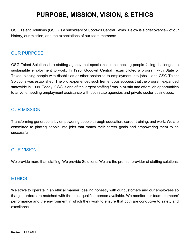# **PURPOSE, MISSION, VISION, & ETHICS**

<span id="page-3-0"></span>GSG Talent Solutions (GSG) is a subsidiary of Goodwill Central Texas. Below is a brief overview of our history, our mission, and the expectations of our team members.

### OUR PURPOSE

GSG Talent Solutions is a staffing agency that specializes in connecting people facing challenges to sustainable employment to work. In 1995, Goodwill Central Texas piloted a program with State of Texas, placing people with disabilities or other obstacles to employment into jobs – and GSG Talent Solutions was established. The pilot experienced such tremendous success that the program expanded statewide in 1999. Today, GSG is one of the largest staffing firms in Austin and offers job opportunities to anyone needing employment assistance with both state agencies and private sector businesses.

### OUR MISSION

Transforming generations by empowering people through education, career training, and work. We are committed to placing people into jobs that match their career goals and empowering them to be successful.

### OUR VISION

We provide more than staffing. We provide Solutions. We are the premier provider of staffing solutions.

### **ETHICS**

We strive to operate in an ethical manner, dealing honestly with our customers and our employees so that job orders are matched with the most qualified person available. We monitor our team members' performance and the environment in which they work to ensure that both are conducive to safety and excellence.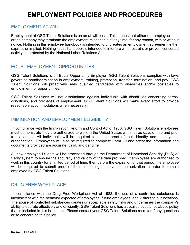# **EMPLOYMENT POLICIES AND PROCEDURES**

### <span id="page-4-1"></span><span id="page-4-0"></span>EMPLOYMENT AT WILL

Employment at GSG Talent Solutions is on an at-will basis. This means that either our employee or the company may terminate the employment relationship at any time, for any reason, with or without notice. Nothing in this employee handbook is intended to or creates an employment agreement, either express or implied. Nothing in this handbook is intended to interfere with, restrain, or prevent concerted activity as protected by the National Labor Relations Act.

### <span id="page-4-2"></span>EQUAL EMPLOYMENT OPPORTUNITIES

GSG Talent Solutions is an Equal Opportunity Employer. GSG Talent Solutions complies with laws governing nondiscrimination in employment, training, promotion, transfer, termination, and pay. GSG Talent Solutions will proactively seek qualified candidates with disabilities and/or obstacles to employment for opportunities.

GSG Talent Solutions will not discriminate against individuals with disabilities concerning terms, conditions, and privileges of employment. GSG Talent Solutions will make every effort to provide reasonable accommodations when necessary.

### <span id="page-4-3"></span>IMMIGRATION AND EMPLOYMENT ELIGIBILITY

In compliance with the Immigration Reform and Control Act of 1986, GSG Talent Solutions employees must demonstrate they are authorized to work in the United States within three days of hire and prior to placement. All individuals will be required to submit proof of their identity and employment authorization. Employees will also be required to complete Form I-9 and attest the information and documents provided are accurate, valid, and genuine.

All new employee I-9 data will be processed through the Department of Homeland Security (DHS) e-Verify system to ensure the accuracy and validity of the data provided. If employees are authorized to work in this country for a limited period of time, then before the expiration of that period, the employee will be required to submit proof of their continuing employment authorization in order to remain employed by GSG Talent Solutions.

### <span id="page-4-4"></span>DRUG-FREE WORKPLACE

In compliance with the Drug Free Workplace Act of 1988, the use of a controlled substance is inconsistent with the behavior expected of employees, future employees, and visitors to our locations. The abuse of controlled substances creates unacceptable safety risks and undermines the company's ability to operate effectively and efficiently. GSG Talent Solutions has a detailed substance abuse policy that is included in this handbook. Please contact your GSG Talent Solutions recruiter if any questions arise concerning this policy.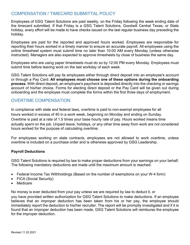### <span id="page-5-0"></span>COMPENSATION / TIMECARD SUBMITTAL POLICY

Employees of GSG Talent Solutions are paid weekly, on the Friday following the week ending date of the timecard submitted. If that Friday is a GSG Talent Solutions, Goodwill Central Texas, or State holiday, every effort will be made to have checks issued on the last regular business day preceding the holiday.

Employees are paid for the reported and approved hours worked. Employees are responsible for reporting their hours worked in a timely manner to ensure an accurate payroll. All employees using the online timesheet system must submit time no later than 10:00 AM every Monday (unless otherwise instructed). Managers are also expected to approve timesheets by close of business the same day.

Employees who are using paper timesheets must do so by 12:00 PM every Monday. Employees must submit time before leaving work on the last workday of each week.

GSG Talent Solutions will pay its employees either through direct deposit into an employee's account or through a Pay Card. **All employees must choose one of these options during the onboarding process.** With direct deposit, an employee's paycheck is deposited directly into the checking or savings account of his/her choice. Forms for electing direct deposit or the Pay Card will be given out during onboarding and the employee must complete the forms within the first three days of employment.

### <span id="page-5-1"></span>OVERTIME COMPENSATION

In compliance with state and federal laws, overtime is paid to non-exempt employees for all hours worked in excess of 40 in a work week, beginning on Monday and ending on Sunday. Overtime is paid at a rate of 1.5 times your base hourly rate of pay. Hours worked means time actually spent on the job. Unpaid leave, holidays, or any other time away from work are not considered hours worked for the purpose of calculating overtime.

For employees working on state contracts, employees are not allowed to work overtime, unless overtime is included on a purchase order and is otherwise approved by GSG Leadership.

### **Payroll Deductions**

GSG Talent Solutions is required by law to make proper deductions from your earnings on your behalf. The following mandatory deductions are made until the maximum amount is reached:

- Federal Income Tax Withholdings (Based on the number of exemptions on your W-4 form)
- FICA (Social Security)
- **Medicare**

No money is ever deducted from your pay unless we are required by law to deduct it, or you have provided written authorization for GSG Talent Solutions to make deductions. If an employee believes that an improper deduction has been taken from his or her pay, the employee should immediately report the deduction to his/her recruiter. The report will be promptly investigated and if it is found that an improper deduction has been made, GSG Talent Solutions will reimburse the employee for the improper deduction.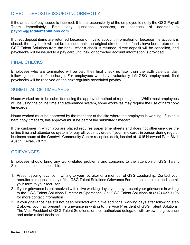### <span id="page-6-0"></span>DIRECT DEPOSITS ISSUED INCORRECTLY

If the amount of pay issued is incorrect, it is the responsibility of the employee to notify the GSG Payroll Team immediately. Email any questions, concerns, or changes of address to **[payroll@gsgtalentsolutions.com](mailto:payroll@gsgtalentsolutions.com)**

If direct deposit items are returned because of invalid account information or because the account is closed, the paycheck will not be reissued until the original direct deposit funds have been returned to GSG Talent Solutions from the bank. After a check is returned, direct deposit will be cancelled, and paychecks will be issued to a pay card until new or corrected account information is provided.

### <span id="page-6-1"></span>FINAL CHECKS

Employees who are terminated will be paid their final check no later than the sixth calendar day, following the date of discharge. For employees who have voluntarily left GSG employment, final paychecks will be received on the next regularly scheduled payday.

### <span id="page-6-2"></span>SUBMITTAL OF TIMECARDS

Hours worked are to be submitted using the approved method of reporting time. While most employees will be using the online time and attendance system, some worksites may require the use of hard copy timecards.

Hours worked must be approved by the manager at the site where the employee is working. If using a hard copy timecard, this approval must be part of the submitted timecard.

If the customer in which you are placed requires paper time sheets and does not otherwise use the online time and attendance system for payroll, you may drop off your time cards in person during regular business hours at the Goodwill Community Center reception desk, located at 1015 Norwood Park Blvd, Austin, Texas, 78753.

### <span id="page-6-3"></span>**GRIEVANCES**

Employees should bring any work-related problems and concerns to the attention of GSG Talent Solutions as soon as possible.

- 1. Present your grievance in writing to your recruiter or a member of GSG Leadership. Contact your recruiter to request a copy of the GSG Talent Solutions Grievance Form, then complete, and submit your form to your recruiter.
- 2. If your grievance is not resolved within five working days, you may present your grievance in writing to the GSG Talent Solutions Director of Operations. Call GSG Talent Solutions at (512) 637-7106 for more contact information
- 3. If your grievance has still not been resolved within five additional working days after following step 2 above, you may present the grievance in writing to the Vice President of GSG Talent Solutions. The Vice President of GSG Talent Solutions, or their authorized delegate, will review the grievance and make a final decision.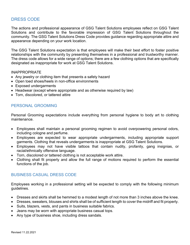### <span id="page-7-0"></span>DRESS CODE

The actions and professional appearance of GSG Talent Solutions employees reflect on GSG Talent Solutions and contribute to the favorable impression of GSG Talent Solutions throughout the community. The GSG Talent Solutions Dress Code provides guidance regarding appropriate attire and appearance depending on your work location.

The GSG Talent Solutions expectation is that employees will make their best effort to foster positive relationships with the community by presenting themselves in a professional and trustworthy manner. The dress code allows for a wide range of options; there are a few clothing options that are specifically designated as inappropriate for work at GSG Talent Solutions.

### INAPPROPRIATE

- Any jewelry or clothing item that presents a safety hazard
- Open toed shoes/heels in non-office environments
- Exposed undergarments
- Headwear (except where appropriate and as otherwise required by law)
- Torn, discolored, or tattered attire

### <span id="page-7-1"></span>PERSONAL GROOMING

Personal Grooming expectations include everything from personal hygiene to body art to clothing maintenance.

- Employees shall maintain a personal grooming regimen to avoid overpowering personal odors, including cologne and perfume.
- Employees are expected to wear appropriate undergarments, including appropriate support garments. Clothing that reveals undergarments is inappropriate at GSG Talent Solutions.
- Employees may not have visible tattoos that contain nudity, profanity, gang insignias, or racial/ethnically offensive language.
- Torn, discolored or tattered clothing is not acceptable work attire.
- Clothing shall fit properly and allow the full range of motions required to perform the essential functions of the job.

### <span id="page-7-2"></span>BUSINESS CASUAL DRESS CODE

Employees working in a professional setting will be expected to comply with the following minimum guidelines.

- Dresses and skirts shall be hemmed to a modest length of not more than 3 inches above the knee.
- Dresses, sweaters, blouses and shirts shall be of sufficient length to cover the midriff and fit properly.
- Suits, blazers, vests, and pants in business suitable fabrics.
- Jeans may be worn with appropriate business casual tops.
- Any type of business shoe, including dress sandals.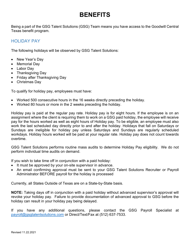# **BENEFITS**

<span id="page-8-0"></span>Being a part of the GSG Talent Solutions (GSG) Team means you have access to the Goodwill Central Texas benefit program.

### <span id="page-8-1"></span>HOLIDAY PAY

The following holidays will be observed by GSG Talent Solutions:

- New Year's Day
- Memorial Day
- Labor Day
- Thanksgiving Day
- Friday after Thanksgiving Day
- Christmas Day

To qualify for holiday pay, employees must have:

- Worked 500 consecutive hours in the 16 weeks directly preceding the holiday.
- Worked 80 hours or more in the 2 weeks preceding the holiday.

Holiday pay is paid at the regular pay rate. Holiday pay is for eight hours. If the employee is on an assignment where the client is requiring them to work on a GSG paid holiday, the employee will receive pay for the hours worked as well as eight hours of Holiday pay. To be eligible, an employee must also work the last scheduled day directly prior to and after the holiday. Holidays that fall on Saturdays or Sundays are ineligible for holiday pay unless Saturdays and Sundays are regularly scheduled workdays. Holiday hours worked will be paid at your regular rate. Holiday pay does not count towards overtime.

GSG Talent Solutions performs routine mass audits to determine Holiday Pay eligibility. We do not perform individual time audits on demand.

If you wish to take time off in conjunction with a paid holiday:

- It must be approved by your on-site supervisor in advance.
- An email confirming approval must be sent to your GSG Talent Solutions Recruiter or Payroll Administrator BEFORE payroll for the holiday is processed

Currently, all States Outside of Texas are on a State-by-State basis.

**NOTE:** Taking days off in conjunction with a paid holiday without advanced supervisor's approval will revoke your holiday pay. Failure to provide documentation of advanced approval to GSG before the holiday can result in your holiday pay being delayed.

If you have any additional questions, please contact the GSG Payroll Specialist at [payroll@gsgtalentsolutions.com](mailto:payroll@gsgtalentsolutions.com) or Direct/Text/Fax at (512) 637-7533.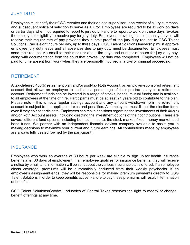### <span id="page-9-0"></span>JURY DUTY

Employees must notify their GSG recruiter and their on-site supervisor upon receipt of a jury summons, and subsequent notice of selection to serve as a juror. Employees are required to be at work on days or partial days when not required to report to jury duty. Failure to report to work on these days revokes the employee's eligibility to receive pay for jury duty. Employees providing this community service will receive their regular rate of pay provided they submit proof of the jury duty request to GSG Talent Solutions. Pay is eight hours per day, up to three days. GSG Talent Solutions leadership must approve employee jury duty leave and all absences due to jury duty must be documented. Employees must send their request via email to their recruiter about the days and number of hours for jury duty pay, along with documentation from the court that proves jury duty was completed. Employees will not be paid for time absent from work when they are personally involved in a civil or criminal proceeding.

### <span id="page-9-1"></span>RETIREMENT

A tax-deferred 403(b) retirement plan and/or post-tax Roth Account, an employer-sponsored retirement account that allows an employee to dedicate a percentage of their pre-tax salary to a retirement account. Retirement funds can be invested in a range of stocks, bonds, mutual funds; and is available to all employees at the time of hire. Participants must be at least 21 years old to contribute to the plan. Please note – this is not a regular savings account and any amount withdrawn from the retirement account is subject to the applicable taxes and penalties. All employees must fill out the election form, even if they do not participate. Employees can make decisions regarding the investments of their 403(b) and/or Roth Account assets, including directing the investment options of their contributions. There are several different fund options, including but not limited to; the stock market, fixed, money market, and bond funds. We partner with an independent financial advisor company available to assist you in making decisions to maximize your current and future earnings. All contributions made by employees are always fully vested (owned by the participant).

### <span id="page-9-2"></span>**INSURANCE**

Employees who work an average of 30 hours per week are eligible to sign up for health insurance benefits after 60 days of employment. If an employee qualifies for insurance benefits, they will receive a notice by email, and information will be sent about the various insurance plans offered. If an employee elects coverage, premiums will be automatically deducted from their weekly paychecks. If an employee's assignment ends, they will be responsible for making premium payments directly to GSG Talent Solutions in order to keep benefits active. Failure to pay these premiums will result in termination of benefits.

GSG Talent Solutions/Goodwill Industries of Central Texas reserves the right to modify or change benefit offerings at any time.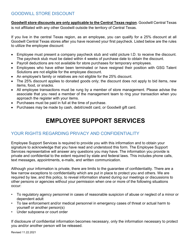<span id="page-10-0"></span>**Goodwill store discounts are only applicable to the Central Texas region**. Goodwill Central Texas is not affiliated with any other Goodwill outside the territory of Central Texas.

If you live in the central Texas region, as an employee, you can qualify for a 25% discount at all Goodwill Central Texas stores after you have received your first paycheck. Listed below are the rules to utilize the employee discount:

- Employee must present a company paycheck stub and valid picture I.D. to receive the discount. The paycheck stub must be dated within 4 weeks of purchase date to obtain the discount.
- Payroll deductions are not available for store purchases for temporary employees.
- Employees who have either been terminated or have resigned their position with GSG Talent Solutions are not eligible for the employee discount.
- An employee's family or relatives are not eligible for the 25% discount.
- The 25% discount applies to donated goods only; the discount does not apply to bid items, new items, food, or snacks.
- All employee transactions must be rung by a member of store management. Please advise the associate that you need a member of the management team to ring your transaction when you approach the register with your items.
- Purchases must be paid in full at the time of purchase.
- <span id="page-10-1"></span>• Purchases may be made by cash, debit/credit card, or Goodwill gift card.

# **EMPLOYEE SUPPORT SERVICES**

### <span id="page-10-2"></span>YOUR RIGHTS REGARDING PRIVACY AND CONFIDENTIALITY

Employee Support Services is required to provide you with this information and to obtain your signature to acknowledge that you have read and understood this form. The Employee Support Services representative will answer any questions you may have. The information you provide is private and confidential to the extent required by state and federal laws. This includes phone calls, text messages, appointments, e-mails, and written communication.

Although your information is private, there are limits to the guarantee of confidentiality. There are a few narrow exceptions to confidentiality which are put in place to protect you and others. We are required by law, and this policy, to reveal information shared during our meetings or discussions to other persons or agencies without your permission when one or more of the following situations occur:

- To regulatory agency personnel in cases of reasonable suspicion of abuse or neglect of a minor or dependent adult
- To law enforcement and/or medical personnel in emergency cases of threat or actual harm to yourself or another person(s)
- Under subpoena or court order

If disclosure of confidential information becomes necessary, only the information necessary to protect you and/or another person will be released.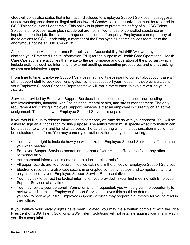Goodwill policy also states that information disclosed to Employee Support Services that suggests unsafe working conditions or illegal actions toward Goodwill as an organization must be reported to GSG Talent Solutions Leadership. This policy is in place to protect the safety of all GSG Talent Solutions employees. Examples include but are not limited to; use of controlled substance or impairment on the job, theft, and damage or destruction of property. Employees can report any of these actions to GSG Leadership, a member of the Employee Support Services team, or to the anonymous hotline at (800) 624-9178.

As outlined in the Health Insurance Portability and Accountability Act (HIPAA), we may use or disclose your Protected Health Information (PHI) for the purpose of Health Care Operations. Health Care Operations are activities that relate to the performance and operation of the program, which include activities such as internal and external auditing, accounting procedures, and client tracking system administrative support.

From time to time, Employee Support Services may find it necessary to consult about your case with other support staff to seek additional guidance to best support your needs. In these consultations, your Employee Support Services Representative will make every effort to avoid revealing your identity.

Services provided by Employee Support Services include counseling on issues surrounding family/relationship, financial, work/life balance, mental health, and stress management. The only requirement for utilizing Employee Support Services is that an employee is currently on an active assignment. Time spent with Employee Support Services is unpaid.

If you would like us to release information to someone, we may do so with your consent. You will be asked to sign an authorization for this purpose. The authorization must specify what information can be released, to whom, and for what purpose. The dates during which the authorization is valid must be indicated on the form. You may cancel your authorization at any time in writing.

- You have the right to indicate how you would like the Employee Support Services staff to contact you when needed.
- Employee Support Services records are not part of your Human Resource file or any other personnel files.
- Your personal information is entered into a locked electronic file.
- All paper records are kept secure in locked cabinets in the offices of Employee Support Services.
- Electronic records are also kept secure in encrypted company laptops and computers that are only accessed by your Employee Support Service Representative.
- You may ask to correct the factual information you provided in your first meeting with Employee Support Services at any time.
- You may review your personal information and, if requested, you will be given the opportunity to review your file unless Employee Support Services believes this could be detrimental to you. If you ask to review your file, Employee Support Services may prepare a summary for you to read in their office.

If you believe your privacy rights have been violated, you may file a written complaint with the Vice President of GSG Talent Solutions. GSG Talent Solutions will not retaliate against you in any way if you file a complaint.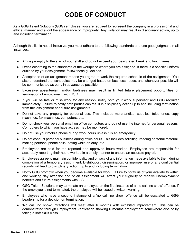# **CODE OF CONDUCT**

<span id="page-12-0"></span>As a GSG Talent Solutions (GSG) employee, you are required to represent the company in a professional and ethical manner and avoid the appearance of impropriety. Any violation may result in disciplinary action, up to and including termination.

Although this list is not all-inclusive, you must adhere to the following standards and use good judgment in all instances:

- Arrive promptly to the start of your shift and do not exceed your designated break and lunch times.
- Dress according to the standards of the workplace where you are assigned. If there is a specific uniform outlined by your assignment, follow those guidelines.
- Acceptance of an assignment means you agree to work the required schedule of the assignment. You also understand that schedules may be changed based on business needs, and whenever possible will be communicated as early in advance as possible.
- Excessive absenteeism and/or tardiness may result in limited future placement opportunities or termination of employment with GSG.
- If you will be late or miss work for any reason, notify both your work supervisor and GSG recruiter immediately. Failure to notify both parties can result in disciplinary action up to and including termination from this assignment and future assignments.
- Do not take any property for personal use. This includes merchandise, supplies, telephones, copy machines, fax machines, computers, etc.
- Do not check your personal email on office computers and do not use the internet for personal reasons. Computers to which you have access may be monitored.
- Do not use your mobile phone during work hours unless it is an emergency.
- Do not conduct personal business during office hours. This includes soliciting, reading personal material, making personal phone calls, eating while on duty, etc.
- Employees are paid for the reported and approved hours worked. Employees are responsible for accurately reporting their hours worked in a timely manner to ensure an accurate payroll.
- Employees agree to maintain confidentiality and privacy of any information made available to them during completion of a temporary assignment. Distribution, dissemination, or improper use of any confidential records will lead to disciplinary action, up to and including termination.
- Notify GSG promptly when you become available for work. Failure to notify us of your availability within one working day after the end of an assignment will affect your eligibility to receive unemployment benefits and future assignments with GSG.
- GSG Talent Solutions may terminate an employee on the first instance of a 'no call, no show' offence. If the employee is not terminated, the employee will be issued a written warning.
- Employees who have a second instance of a 'no call, no show' offence will be escalated to GSG Leadership for a decision on termination.
- 'No call, no show' infractions will reset after 6 months with exhibited improvement. This can be demonstrated through Employment Verification showing 6 months employment somewhere else or by taking a soft skills class.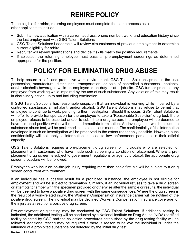# **REHIRE POLICY**

<span id="page-13-0"></span>To be eligible for rehire, returning employees must complete the same process as all other applicants to include:

- Submit a new application with a current address, phone number, work, and education history since the last employment with GSG Talent Solutions
- GSG Talent Solutions Leadership will review circumstances of previous employment to determine current eligibility for rehire.
- Recruiter will review qualifications and decide if skills match the position requirements.
- If selected, the returning employee must pass all pre-employment screenings as determined appropriate for the position.

# **POLICY FOR ELIMINATING DRUG ABUSE**

<span id="page-13-1"></span>To help ensure a safe and productive work environment. GSG Talent Solutions prohibits the use, possession, manufacture, distribution, transportation, or sale of controlled substances, inhalants, and/or alcoholic beverages while an employee is on duty or at a job site. GSG further prohibits any employee from working while impaired by the use of such substances. Any violation of this may result in disciplinary action, up to and including termination.

If GSG Talent Solutions has reasonable suspicion that an individual is working while impaired by a controlled substance, an inhalant, and/or alcohol, GSG Talent Solutions may refuse to permit that employee to continue to work, pending further investigation. Should this occur, GSG Talent Solutions will offer to provide transportation for the employee to take a 'Reasonable Suspicion' drug test. If the employee refuses to be escorted and/or to submit to a drug screen, the employee will be deemed to have screened positive which will result in immediate termination. An investigation, which includes a substance abuse test, will be performed in an expeditious manner. The confidentiality of the information developed in such an investigation will be preserved to the extent reasonably possible. However, such confidentiality will not apply to information supplied to law enforcement personnel in their official capacity.

GSG Talent Solutions requires a pre-placement drug screen for individuals who are selected for placement with customers who have made such screening a condition of placement. Where a preplacement drug screen is subject to government regulations or agency protocol, the appropriate drug screen procedure will be followed.

Employees who incur an on-the-job injury requiring more than basic first aid will be subject to a drug screen concurrent with treatment.

If an individual has a positive result for a prohibited substance, the employee is not eligible for employment and will be subject to termination. Similarly, if an individual refuses to take a drug screen or attempts to tamper with the specimen provided or otherwise alter the sample or results, the individual will be deemed to have a positive drug screen with the same consequences. Where the drug screen is the result of a work-related injury, the Workers' Compensation insurance carrier will be notified of the positive drug screen. The individual may be declined Worker's Compensation insurance coverage for the injury as a result of a positive drug screen.

Pre-employment drug testing may be conducted by GSG Talent Solutions. If additional testing is indicated, the additional testing will be conducted by a National Institute on Drug Abuse (NIDA) certified facility selected by GSG and the collection procedures established by the drug testing facility will be followed. Additional testing may be required if there is reason to believe the individual is under the influence of a prohibited substance not detected by the initial drug test.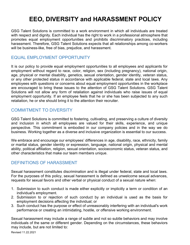# **EEO, DIVERSITY and HARASSMENT POLICY**

<span id="page-14-0"></span>GSG Talent Solutions is committed to a work environment in which all individuals are treated with respect and dignity. Each individual has the right to work in a professional atmosphere that promotes equal employment opportunities and prohibits discriminatory practices, including harassment. Therefore, GSG Talent Solutions expects that all relationships among co-workers will be business-like, free of bias, prejudice, and harassment.

### <span id="page-14-1"></span>EQUAL EMPLOYMENT OPPORTUNITY

It is our policy to provide equal employment opportunities to all employees and applicants for employment without regard to race, color, religion, sex (including pregnancy), national origin, age, physical or mental disability, genetics, sexual orientation, gender identity, veteran status, or any other protected status in accordance with applicable federal, state and local laws. Any employees with questions or concerns about equal employment opportunities in the workplace are encouraged to bring these issues to the attention of GSG Talent Solutions. GSG Talent Solutions will not allow any form of retaliation against individuals who raise issues of equal employment opportunity. If an employee feels that he or she has been subjected to any such retaliation, he or she should bring it to the attention their recruiter.

### <span id="page-14-2"></span>COMMITMENT TO DIVERSITY

GSG Talent Solutions is committed to fostering, cultivating, and preserving a culture of diversity and inclusion in which all employees are valued for their skills, experience, and unique perspective. This commitment is embodied in our company policies and in the way we do business. Working together as a diverse and inclusive organization is essential to our success.

We embrace and encourage our employees' differences in age, disability, race, ethnicity, family or marital status, gender identity or expression, language, national origin, physical and mental ability, political affiliation, religion, sexual orientation, socioeconomic status, veteran status, and other characteristics that make our team members unique.

### <span id="page-14-3"></span>DEFINITIONS OF HARASSMENT

Sexual harassment constitutes discrimination and is illegal under federal, state and local laws. For the purposes of this policy, sexual harassment is defined as unwelcome sexual advances, requests for sexual favors and other verbal or physical conduct of a sexual nature when:

- 1. Submission to such conduct is made either explicitly or implicitly a term or condition of an individual's employment.
- 2. Submission to or rejection of such conduct by an individual is used as the basis for employment decisions affecting the individual; or
- 3. Such conduct has the purpose or effect of unreasonably interfering with an individual's work performance or creating an intimidating, hostile, or offensive working environment.

Sexual harassment may include a range of subtle and not so subtle behaviors and may involve individuals of the same or different gender. Depending on the circumstances, these behaviors may include, but are not limited to: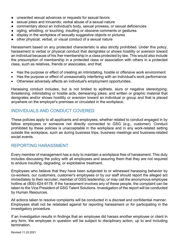- unwanted sexual advances or requests for sexual favors
- sexual jokes and innuendo; verbal abuse of a sexual nature
- commentary about an individual's body, sexual prowess, or sexual deficiencies
- ogling, whistling, or touching; insulting or obscene comments or gestures
- display in the workplace of sexually suggestive objects or pictures
- other physical, verbal, or visual conduct of a sexual nature

Harassment based on any protected characteristic is also strictly prohibited. Under this policy, harassment is verbal or physical conduct that denigrates or shows hostility or aversion toward an individual because of his /her membership in a class protected by law. This would also include the presumption of membership in a protected class or association with others in a protected class, such as relatives, friends or associates, and that:

- Has the purpose or effect of creating an intimidating, hostile or offensive work environment
- Has the purpose or effect of unreasonably interfering with an individual's work performance
- Otherwise adversely affects an individual's employment opportunities.

Harassing conduct includes, but is not limited to epithets, slurs or negative stereotyping; threatening, intimidating or hostile acts; demeaning jokes; and written or graphic material that denigrates and/or shows hostility or aversion toward an individual or group and that is placed anywhere on the employer's premises or circulated in the workplace.

### <span id="page-15-0"></span>INDIVIDUALS AND CONDUCT COVERED

These policies apply to all applicants and employees, whether related to conduct engaged in by fellow employees or someone not directly connected to GSG (e.g., customer). Conduct prohibited by these policies is unacceptable in the workplace and in any work-related setting outside the workplace, such as during business trips, business meetings and business-related social events.

### <span id="page-15-1"></span>REPORTING HARASSMENT

Every member of management has a duty to maintain a workplace free of harassment. This duty includes discussing the policy with all employees and assuring them that they are not required to endure insulting, degrading, or exploitative treatment.

Employees who believe that they have been subjected to or witnessed harassing behavior by co-workers, our customers, customer's employees or by our staff should report the alleged act immediately to their recruiter, member of GSG leadership, or may call the anonymous employee hotline at (800) 624-9178. If the harassment involves any of these people, the complaint can be taken to the Vice President of GSG Talent Solutions. Investigation of the report will be conducted by Human Resources.

All actions taken to resolve complaints will be conducted in a discreet and confidential manner. Employees shall not be retaliated against for reporting harassment or for participating in the investigatory procedure.

If an investigation results in findings that an employee did harass another employee or client in any form, the employee in question will be subject to disciplinary action, up to and including termination.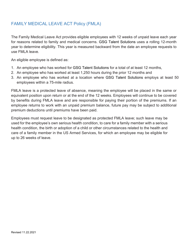### <span id="page-16-0"></span>FAMILY MEDICAL LEAVE ACT Policy (FMLA)

The Family Medical Leave Act provides eligible employees with 12 weeks of unpaid leave each year for reasons related to family and medical concerns. GSG Talent Solutions uses a rolling 12-month year to determine eligibility. This year is measured backward from the date an employee requests to use FMLA leave.

An eligible employee is defined as:

- 1. An employee who has worked for GSG Talent Solutions for a total of at least 12 months,
- 2. An employee who has worked at least 1,250 hours during the prior 12 months and
- 3. An employee who has worked at a location where GSG Talent Solutions employs at least 50 employees within a 75-mile radius.

FMLA leave is a protected leave of absence, meaning the employee will be placed in the same or equivalent position upon return or at the end of the 12 weeks. Employees will continue to be covered by benefits during FMLA leave and are responsible for paying their portion of the premiums. If an employee returns to work with an unpaid premium balance, future pay may be subject to additional premium deductions until premiums have been paid.

Employees must request leave to be designated as protected FMLA leave; such leave may be used for the employee's own serious health condition, to care for a family member with a serious health condition, the birth or adoption of a child or other circumstances related to the health and care of a family member in the US Armed Services, for which an employee may be eligible for up to 26 weeks of leave.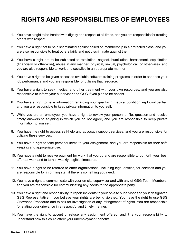# <span id="page-17-0"></span>**RIGHTS AND RESPONSIBILITIES OF EMPLOYEES**

- 1. You have a right to be treated with dignity and respect at all times, and you are responsible for treating others with respect.
- 2. You have a right not to be discriminated against based on membership in a protected class, and you are also responsible to treat others fairly and not discriminate against them.
- 3. You have a right not to be subjected to retaliation, neglect, humiliation, harassment, exploitation (financially or otherwise), abuse in any manner (physical, sexual, psychological, or otherwise), and you are also responsible to work and socialize in an appropriate manner.
- 4. You have a right to be given access to available software training programs in order to enhance your job performance and you are responsible for utilizing that resource.
- 5. You have a right to seek medical and other treatment with your own resources, and you are also responsible to inform your supervisor and GSG if you plan to be absent.
- 6. You have a right to have information regarding your qualifying medical condition kept confidential, and you are responsible to keep private information to yourself.
- 7. While you are an employee, you have a right to review your personnel file, question and receive timely answers to anything in which you do not agree, and you are responsible to keep private information to yourself.
- 8. You have the right to access self-help and advocacy support services, and you are responsible for utilizing these services.
- 9. You have a right to take personal items to your assignment, and you are responsible for their safe keeping and appropriate use.
- 10. You have a right to receive payment for work that you do and are responsible to put forth your best effort at work and to turn in weekly, legible timecards.
- 11. You have a right to be referred to other organizations, including legal entities, for services and you are responsible for informing staff if there is something you need.
- 12. You have a right to communicate with your on-site supervisor and with any of GSG Team Members, and you are responsible for communicating any needs to the appropriate party.
- 13. You have a right and responsibility to report incidents to your on-site supervisor and your designated GSG Representative, if you believe your rights are being violated. You have the right to use GSG Grievance Procedure and to ask for investigation of any infringement of rights. You are responsible for stating your grievance in a respectful and timely manner.
- 14. You have the right to accept or refuse any assignment offered, and it is your responsibility to understand how this could affect your unemployment benefits.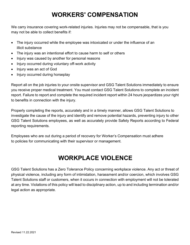# **WORKERS' COMPENSATION**

<span id="page-18-0"></span>We carry insurance covering work-related injuries. Injuries may not be compensable, that is you may not be able to collect benefits if:

- The injury occurred while the employee was intoxicated or under the influence of an illicit substance
- The injury was an intentional effort to cause harm to self or others
- Injury was caused by another for personal reasons
- Injury occurred during voluntary off-work activity
- Injury was an act of God
- Injury occurred during horseplay

Report all on the job injuries to your onsite supervisor and GSG Talent Solutions immediately to ensure you receive proper medical treatment. You must contact GSG Talent Solutions to complete an incident report. Failure to report and complete the required incident report within 24 hours jeopardizes your right to benefits in connection with the injury.

Properly completing the reports, accurately and in a timely manner, allows GSG Talent Solutions to investigate the cause of the injury and identify and remove potential hazards, preventing injury to other GSG Talent Solutions employees, as well as accurately provide Safety Reports according to Federal reporting requirements.

Employees who are out during a period of recovery for Worker's Compensation must adhere to policies for communicating with their supervisor or management.

# **WORKPLACE VIOLENCE**

<span id="page-18-1"></span>GSG Talent Solutions has a Zero Tolerance Policy concerning workplace violence. Any act or threat of physical violence, including any form of intimidation, harassment and/or coercion, which involves GSG Talent Solutions staff or customers, when it occurs in connection with employment will not be tolerated at any time. Violations of this policy will lead to disciplinary action, up to and including termination and/or legal action as appropriate.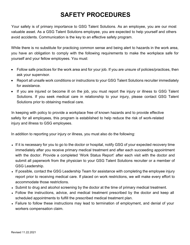# **SAFETY PROCEDURES**

<span id="page-19-0"></span>Your safety is of primary importance to GSG Talent Solutions. As an employee, you are our most valuable asset. As a GSG Talent Solutions employee, you are expected to help yourself and others avoid accidents. Communication is the key to an effective safety program.

While there is no substitute for practicing common sense and being alert to hazards in the work area, you have an obligation to comply with the following requirements to make the workplace safe for yourself and your fellow employees. You must:

- Follow safe practices for the work area and for your job. If you are unsure of policies/practices, then ask your supervisor.
- Report all unsafe work conditions or instructions to your GSG Talent Solutions recruiter immediately for assistance.
- If you are injured or become ill on the job, you must report the injury or illness to GSG Talent Solutions. If you seek medical care in relationship to your injury, please contact GSG Talent Solutions prior to obtaining medical care.

In keeping with policy to provide a workplace free of known hazards and to provide effective safety for all employees, this program is established to help reduce the risk of work-related injury and illness to GSG employees.

In addition to reporting your injury or illness, you must also do the following:

- If it is necessary for you to go to the doctor or hospital, notify GSG of your expected recovery time immediately after you receive primary medical treatment and after each succeeding appointment with the doctor. Provide a completed 'Work Status Report' after each visit with the doctor and submit all paperwork from the physician to your GSG Talent Solutions recruiter or a member of GSG Leadership.
- If possible, contact the GSG Leadership Team for assistance with completing the employee injury report prior to receiving medical care. If placed on work restrictions, we will make every effort to accommodate those restrictions.
- Submit to drug and alcohol screening by the doctor at the time of primary medical treatment.
- Follow the instructions, advice, and medical treatment prescribed by the doctor and keep all scheduled appointments to fulfill the prescribed medical treatment plan.
- Failure to follow these instructions may lead to termination of employment, and denial of your workers compensation claim.